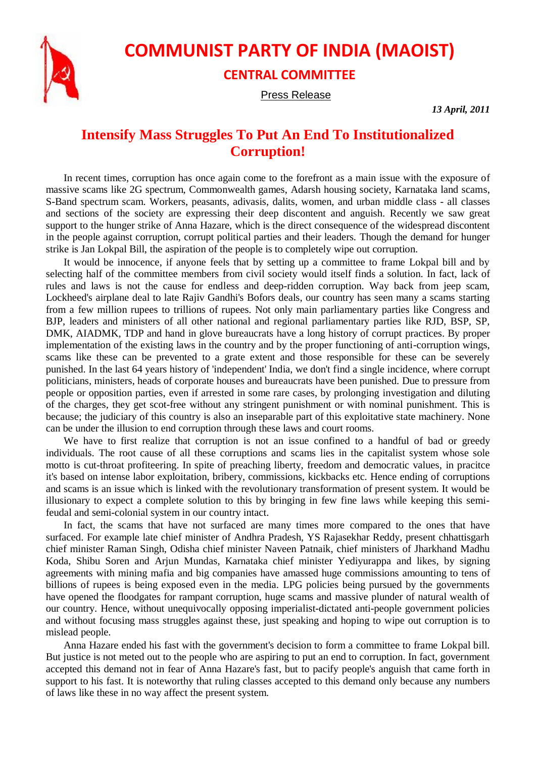

## **COMMUNIST PARTY OF INDIA (MAOIST)**

## **CENTRAL COMMITTEE**

Press Release

*13 April, 2011*

## **Intensify Mass Struggles To Put An End To Institutionalized Corruption!**

In recent times, corruption has once again come to the forefront as a main issue with the exposure of massive scams like 2G spectrum, Commonwealth games, Adarsh housing society, Karnataka land scams, S-Band spectrum scam. Workers, peasants, adivasis, dalits, women, and urban middle class - all classes and sections of the society are expressing their deep discontent and anguish. Recently we saw great support to the hunger strike of Anna Hazare, which is the direct consequence of the widespread discontent in the people against corruption, corrupt political parties and their leaders. Though the demand for hunger strike is Jan Lokpal Bill, the aspiration of the people is to completely wipe out corruption.

It would be innocence, if anyone feels that by setting up a committee to frame Lokpal bill and by selecting half of the committee members from civil society would itself finds a solution. In fact, lack of rules and laws is not the cause for endless and deep-ridden corruption. Way back from jeep scam, Lockheed's airplane deal to late Rajiv Gandhi's Bofors deals, our country has seen many a scams starting from a few million rupees to trillions of rupees. Not only main parliamentary parties like Congress and BJP, leaders and ministers of all other national and regional parliamentary parties like RJD, BSP, SP, DMK, AIADMK, TDP and hand in glove bureaucrats have a long history of corrupt practices. By proper implementation of the existing laws in the country and by the proper functioning of anti-corruption wings, scams like these can be prevented to a grate extent and those responsible for these can be severely punished. In the last 64 years history of 'independent' India, we don't find a single incidence, where corrupt politicians, ministers, heads of corporate houses and bureaucrats have been punished. Due to pressure from people or opposition parties, even if arrested in some rare cases, by prolonging investigation and diluting of the charges, they get scot-free without any stringent punishment or with nominal punishment. This is because; the judiciary of this country is also an inseparable part of this exploitative state machinery. None can be under the illusion to end corruption through these laws and court rooms.

We have to first realize that corruption is not an issue confined to a handful of bad or greedy individuals. The root cause of all these corruptions and scams lies in the capitalist system whose sole motto is cut-throat profiteering. In spite of preaching liberty, freedom and democratic values, in pracitce it's based on intense labor exploitation, bribery, commissions, kickbacks etc. Hence ending of corruptions and scams is an issue which is linked with the revolutionary transformation of present system. It would be illusionary to expect a complete solution to this by bringing in few fine laws while keeping this semifeudal and semi-colonial system in our country intact.

In fact, the scams that have not surfaced are many times more compared to the ones that have surfaced. For example late chief minister of Andhra Pradesh, YS Rajasekhar Reddy, present chhattisgarh chief minister Raman Singh, Odisha chief minister Naveen Patnaik, chief ministers of Jharkhand Madhu Koda, Shibu Soren and Arjun Mundas, Karnataka chief minister Yediyurappa and likes, by signing agreements with mining mafia and big companies have amassed huge commissions amounting to tens of billions of rupees is being exposed even in the media. LPG policies being pursued by the governments have opened the floodgates for rampant corruption, huge scams and massive plunder of natural wealth of our country. Hence, without unequivocally opposing imperialist-dictated anti-people government policies and without focusing mass struggles against these, just speaking and hoping to wipe out corruption is to mislead people.

Anna Hazare ended his fast with the government's decision to form a committee to frame Lokpal bill. But justice is not meted out to the people who are aspiring to put an end to corruption. In fact, government accepted this demand not in fear of Anna Hazare's fast, but to pacify people's anguish that came forth in support to his fast. It is noteworthy that ruling classes accepted to this demand only because any numbers of laws like these in no way affect the present system.